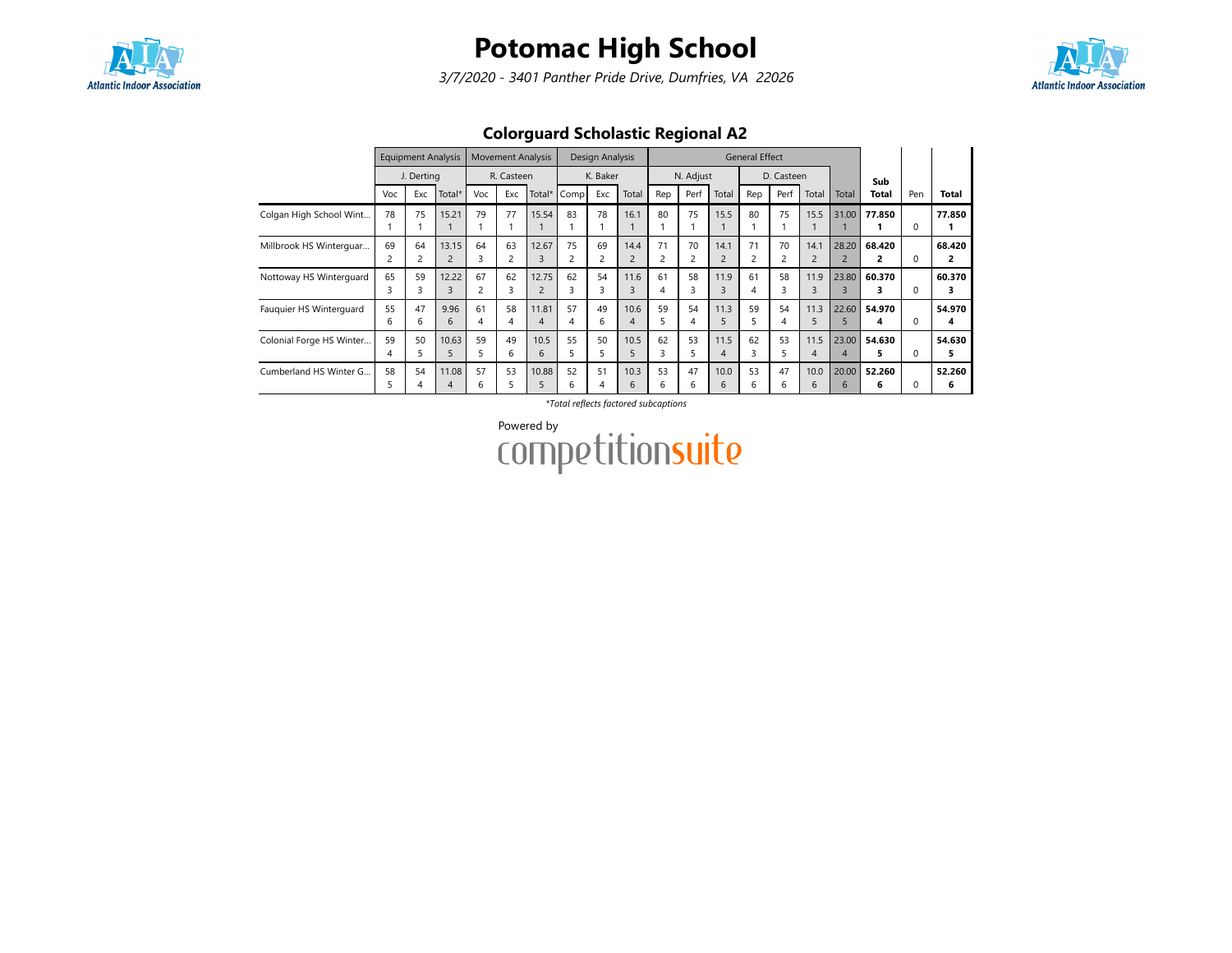

3/7/2020 - 3401 Panther Pride Drive, Dumfries, VA 22026



### Colorguard Scholastic Regional A2

|                          | <b>Equipment Analysis</b><br>J. Derting |          | <b>Movement Analysis</b> |                      | Design Analysis |                         |          | <b>General Effect</b> |                        |                      |           |                        |         |            |                        |            |              |          |              |
|--------------------------|-----------------------------------------|----------|--------------------------|----------------------|-----------------|-------------------------|----------|-----------------------|------------------------|----------------------|-----------|------------------------|---------|------------|------------------------|------------|--------------|----------|--------------|
|                          |                                         |          |                          |                      | R. Casteen      |                         |          | K. Baker              |                        |                      | N. Adjust |                        |         | D. Casteen |                        |            | Sub          |          |              |
|                          | Voc                                     | Exc      | Total*                   | Voc                  | Exc             | Total*                  | Comp     | Exc                   | Total                  | Rep                  | Perf      | Total                  | Rep     | Perf       | Total                  | Total      | Total        | Pen      | Total        |
| Colgan High School Wint  | 78                                      | 75       | 15.21                    | 79                   | 77              | 15.54                   | 83       | 78                    | 16.1                   | 80                   | 75        | 15.5                   | 80      | 75         | 15.5                   | 31.00      | 77.850       | $\Omega$ | 77.850       |
| Millbrook HS Winterguar  | 69                                      | 64<br>2  | 13.15<br>$\overline{2}$  | 64<br>3              | 63<br>2         | 12.67<br>3              | 75       | 69<br>2               | 14.4<br>$\overline{2}$ | 71<br>$\overline{c}$ | 70<br>2   | 14.1                   | 71      | 70<br>2    | 14.1<br>$\overline{c}$ | 28.20<br>2 | 68.420       | $\Omega$ | 68.420<br>2  |
| Nottoway HS Winterguard  | 65<br>3                                 | 59<br>3  | 12.22<br>3               | 67<br>$\overline{c}$ | 62<br>3         | 12.75                   | 62       | 54<br>3               | 11.6<br>3              | 61<br>4              | 58<br>3   | 11.9<br>$\overline{3}$ | 61<br>4 | 58         | 11.9<br>3              | 23.80<br>3 | 60.370       | $\Omega$ | 60.370<br>3  |
| Fauguier HS Winterguard  | 55<br>6                                 | 47<br>6  | 9.96<br>6                | 61<br>4              | 58<br>4         | 11.81<br>$\overline{A}$ | 57<br>4  | 49<br>6               | 10.6<br>4              | 59<br>5              | 54<br>4   | 11.3<br>5              | 59      | 54<br>4    | 11.3<br>5              | 22.60<br>5 | 54.970<br>4  | $\Omega$ | 54.970<br>4  |
| Colonial Forge HS Winter | 59<br>4                                 | 50<br>C. | 10.63<br>5               | 59<br>5              | 49<br>6         | 10.5<br>6               | 55<br>5. | 50<br>5               | 10.5<br>5              | 62<br>3              | 53<br>5   | 11.5<br>4              | 62      | 53<br>5.   | 11.5<br>4              | 23.00<br>4 | 54.630<br>5. | $\Omega$ | 54.630<br>5. |
| Cumberland HS Winter G   | 58<br>5.                                | 54<br>4  | 11.08<br>4               | 57<br>6              | 53<br>5         | 10.88<br>5              | 52<br>6  | 51<br>4               | 10.3<br>6              | 53<br>6              | 47<br>6   | 10.0<br>6              | 53<br>6 | 47<br>6    | 10.0<br>6              | 20.00<br>6 | 52.260<br>6  | $\Omega$ | 52.260<br>6  |

\*Total reflects factored subcaptions

Powered by<br>COMPetitionsuite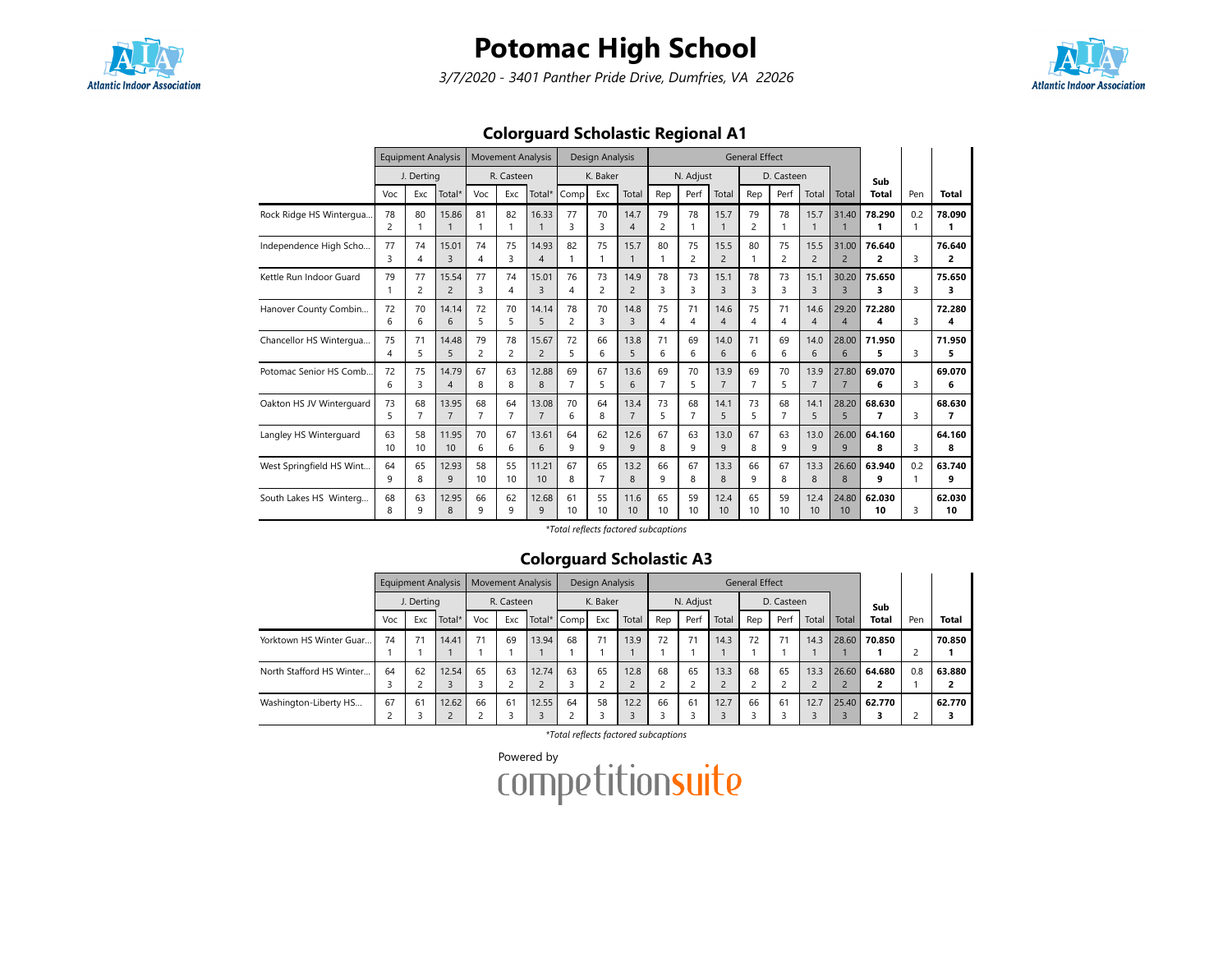

3/7/2020 - 3401 Panther Pride Drive, Dumfries, VA 22026



### Colorguard Scholastic Regional A1

|                          | <b>Equipment Analysis</b><br>J. Derting |                      |                         |                      | <b>Movement Analysis</b> |                         |                      | Design Analysis      |                         | <b>General Effect</b> |                       |                        |                      |                       |                          |                         |              |          |              |
|--------------------------|-----------------------------------------|----------------------|-------------------------|----------------------|--------------------------|-------------------------|----------------------|----------------------|-------------------------|-----------------------|-----------------------|------------------------|----------------------|-----------------------|--------------------------|-------------------------|--------------|----------|--------------|
|                          |                                         |                      |                         |                      | R. Casteen               |                         |                      | K. Baker             |                         |                       | N. Adjust             |                        |                      | D. Casteen            |                          |                         | Sub          |          |              |
|                          | Voc                                     | Exc                  | Total*                  | Voc                  | Exc                      | Total*                  | Comp                 | Exc                  | Total                   | Rep                   | Perf                  | Total                  | Rep                  | Perf                  | Total                    | Total                   | <b>Total</b> | Pen      | <b>Total</b> |
| Rock Ridge HS Wintergua  | 78<br>$\overline{2}$                    | 80                   | 15.86<br>$\mathbf{1}$   | 81<br>1              | 82<br>1                  | 16.33<br>$\mathbf{1}$   | 77<br>3              | 70<br>3              | 14.7<br>$\overline{4}$  | 79<br>$\overline{2}$  | 78<br>1               | 15.7<br>1              | 79<br>2              | 78                    | 15.7<br>1                | 31.40                   | 78.290<br>1  | 0.2<br>1 | 78.090<br>1  |
| Independence High Scho   | 77<br>₹                                 | 74<br>4              | 15.01<br>3              | 74<br>4              | 75<br>3                  | 14.93<br>$\overline{4}$ | 82<br>1              | 75                   | 15.7                    | 80<br>$\mathbf{1}$    | 75<br>2               | 15.5<br>$\overline{2}$ | 80                   | 75<br>2               | 15.5<br>$\overline{2}$   | 31.00<br>$\overline{2}$ | 76.640<br>2  | 3        | 76.640<br>2  |
| Kettle Run Indoor Guard  | 79                                      | 77<br>2              | 15.54<br>$\overline{2}$ | 77<br>3              | 74<br>4                  | 15.01<br>3              | 76<br>4              | 73<br>2              | 14.9<br>$\overline{2}$  | 78<br>$\overline{3}$  | 73<br>3               | 15.1<br>$\overline{3}$ | 78<br>3              | 73<br>3               | 15.1<br>3                | 30.20<br>$\overline{3}$ | 75.650<br>3. | 3        | 75.650<br>3  |
| Hanover County Combin    | 72<br>6                                 | 70<br>6              | 14.14<br>6              | 72<br>5              | 70<br>5                  | 14.14<br>5              | 78<br>$\overline{c}$ | 70<br>3              | 14.8<br>3               | 75<br>4               | 71<br>4               | 14.6<br>$\overline{4}$ | 75<br>4              | 71<br>4               | 14.6<br>4                | 29.20<br>$\overline{4}$ | 72.280<br>4  | 3        | 72.280<br>4  |
| Chancellor HS Wintergua  | 75<br>4                                 | 71<br>5.             | 14.48<br>5              | 79<br>2              | 78<br>2                  | 15.67<br>$\overline{2}$ | 72<br>5              | 66<br>6              | 13.8<br>5               | 71<br>6               | 69<br>6               | 14.0<br>6              | 71<br>6              | 69<br>6               | 14.0<br>6                | 28.00<br>6              | 71.950<br>5. | ς        | 71.950<br>5  |
| Potomac Senior HS Comb.  | 72<br>6                                 | 75<br>3              | 14.79<br>$\overline{4}$ | 67<br>8              | 63<br>8                  | 12.88<br>8              | 69<br>$\overline{7}$ | 67<br>5              | 13.6<br>6               | 69<br>$\overline{7}$  | 70<br>5               | 13.9<br>$\overline{7}$ | 69<br>$\overline{7}$ | 70<br>5               | 13.9<br>$\overline{7}$   | 27.80<br>$\overline{7}$ | 69.070<br>6  | 3        | 69.070<br>6  |
| Oakton HS JV Winterguard | 73<br>5                                 | 68<br>$\overline{7}$ | 13.95<br>$\overline{7}$ | 68<br>$\overline{7}$ | 64<br>7                  | 13.08<br>$\overline{7}$ | 70<br>6              | 64<br>8              | 13.4<br>$\overline{7}$  | 73<br>5               | 68<br>$\overline{7}$  | 14.1<br>5              | 73<br>5              | 68<br>$\overline{7}$  | 14.1<br>5                | 28.20<br>5              | 68.630<br>7  | 3        | 68.630<br>7  |
| Langley HS Winterguard   | 63<br>10                                | 58<br>10             | 11.95<br>10             | 70<br>6              | 67<br>6                  | 13.61<br>6              | 64<br>9              | 62<br>9              | 12.6<br>9               | 67<br>8               | 63<br>9               | 13.0<br>9              | 67<br>8              | 63<br>9               | 13.0<br>9                | 26.00<br>9              | 64.160<br>8  | 3        | 64.160<br>8  |
| West Springfield HS Wint | 64<br>9                                 | 65<br>8              | 12.93<br>9              | 58<br>10             | 55<br>10                 | 11.21<br>10             | 67<br>8              | 65<br>$\overline{7}$ | 13.2<br>8               | 66<br>9               | 67<br>8               | 13.3<br>8              | 66<br>9              | 67<br>8               | 13.3<br>8                | 26.60<br>8              | 63.940<br>٩  | 0.2<br>1 | 63.740<br>9  |
| South Lakes HS Winterg   | 68<br>8                                 | 63<br>9              | 12.95<br>8              | 66<br>9              | 62<br>9                  | 12.68<br>$\mathsf{q}$   | 61<br>10             | 55<br>10             | 11.6<br>10 <sup>2</sup> | 65<br>10 <sup>2</sup> | 59<br>10 <sup>2</sup> | 12.4<br>10             | 65<br>10             | 59<br>10 <sup>2</sup> | 12.4<br>10 <sup>10</sup> | 24.80<br>10             | 62.030<br>10 | 3        | 62.030<br>10 |

\*Total reflects factored subcaptions

### Colorguard Scholastic A3

|                          |     | <b>Equipment Analysis</b> |        |     |            | <b>Movement Analysis</b> |             | Design Analysis |       |         |           |       | <b>General Effect</b> |            |       |       |              |     |              |
|--------------------------|-----|---------------------------|--------|-----|------------|--------------------------|-------------|-----------------|-------|---------|-----------|-------|-----------------------|------------|-------|-------|--------------|-----|--------------|
|                          |     | J. Derting                |        |     | R. Casteen |                          |             | K. Baker        |       |         | N. Adjust |       |                       | D. Casteen |       |       | Sub          |     |              |
|                          | Voc | Exc                       | Total* | Voc | Exc        |                          | Total* Comp | Exc             | Total | Rep     | Perf      | Total | Rep                   | Perf       | Total | Total | <b>Total</b> | Pen | <b>Total</b> |
| Yorktown HS Winter Guar  | 74  | 71                        | 14.41  | 71  | 69         | 13.94                    | 68          | 71              | 13.9  | 72      | 71        | 14.3  | 72                    | 71         | 14.3  | 28.60 | 70.850       |     | 70.850       |
|                          |     |                           |        |     |            |                          |             |                 |       |         |           |       |                       |            |       |       |              |     |              |
| North Stafford HS Winter | 64  | 62                        | 12.54  | 65  | 63         | 12.74                    | 63          | 65              | 12.8  | 68<br>n | 65        | 13.3  | 68                    | 65         | 13.3  | 26.60 | 64.680       | 0.8 | 63.880       |
|                          |     |                           |        |     |            |                          |             |                 |       |         |           |       |                       |            |       |       |              |     |              |
| Washington-Liberty HS    | 67  | 61                        | 12.62  | 66  | 61         | 12.55                    | 64          | 58              | 12.2  | 66      | 61        | 12.7  | 66                    | 61         | 12.7  | 25.40 | 62.770       |     | 62.770       |
|                          |     |                           |        |     |            |                          |             |                 |       | n,      |           |       |                       |            |       |       |              |     |              |

\*Total reflects factored subcaptions

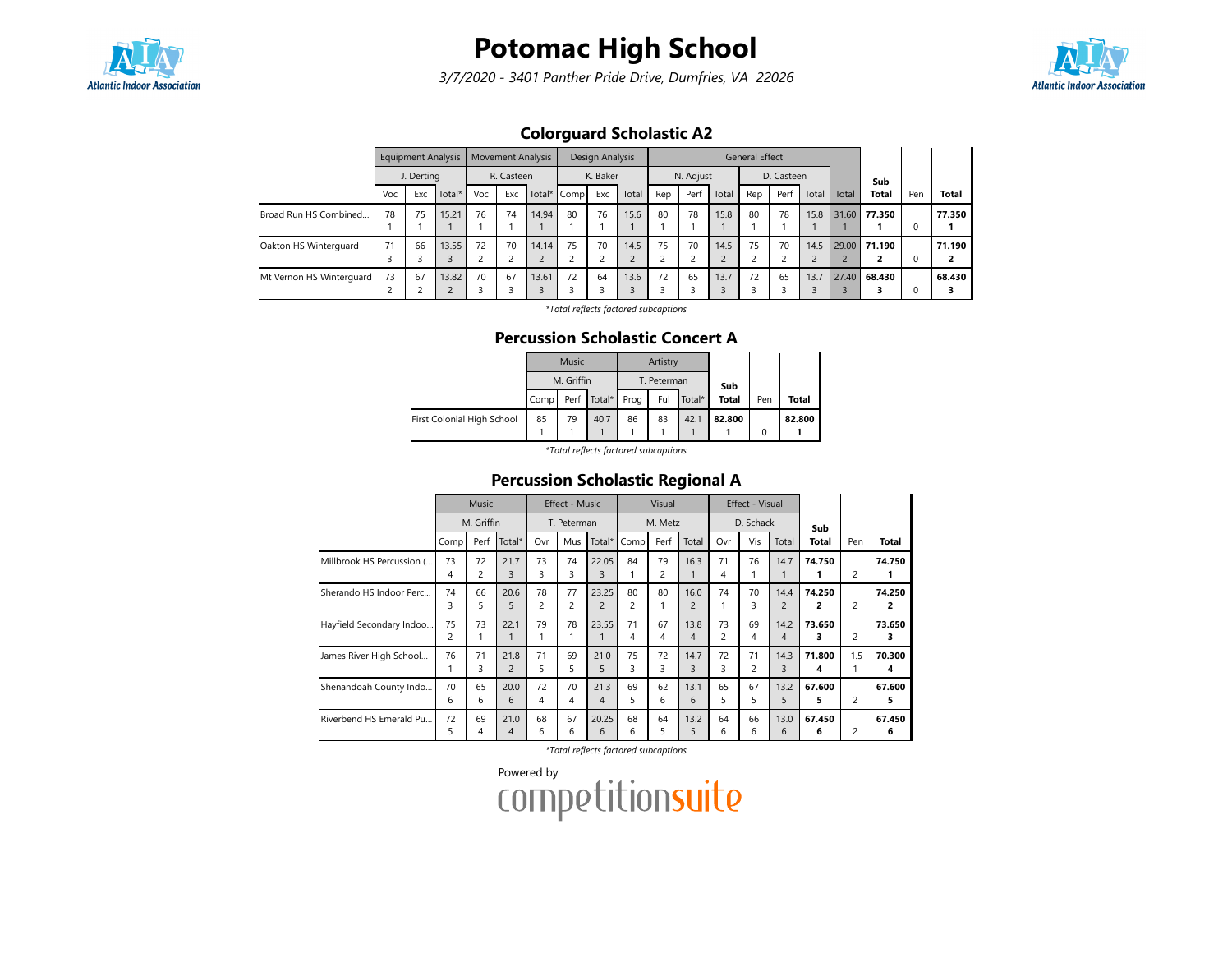

3/7/2020 - 3401 Panther Pride Drive, Dumfries, VA 22026



### Colorguard Scholastic A2

|                          |     |            | <b>Equipment Analysis</b> | <b>Movement Analysis</b> |            |       | Design Analysis |                         |       | <b>General Effect</b>         |           |       |     |            |       |       |              |     |              |
|--------------------------|-----|------------|---------------------------|--------------------------|------------|-------|-----------------|-------------------------|-------|-------------------------------|-----------|-------|-----|------------|-------|-------|--------------|-----|--------------|
|                          |     | J. Derting |                           |                          | R. Casteen |       |                 | K. Baker                |       |                               | N. Adjust |       |     | D. Casteen |       |       | Sub          |     |              |
|                          | Voc | Exc        | Total*                    | Voc                      | Exc        |       | Total* Comp     | Exc                     | Total | Rep                           | Perf      | Total | Rep | Perf       | Total | Total | <b>Total</b> | Pen | <b>Total</b> |
| Broad Run HS Combined    | 78  | 75         | 15.21                     | 76                       | 74         | 14.94 | 80              | 76                      | 15.6  | 80                            | 78        | 15.8  | 80  | 78         | 15.8  |       | 31.60 77.350 |     | 77.350       |
| Oakton HS Winterguard    | 71  | 66         | 13.55                     | 72                       | 70         | 14.14 | 75              | 70<br>$\mathbf{\hat{}}$ | 14.5  | 75<br>$\overline{\mathbf{c}}$ | 70        | 14.5  | 75  | 70         | 14.5  |       | 29.00 71.190 |     | 71.190<br>2  |
| Mt Vernon HS Winterguard | 73  | 67         | 13.82<br>$\sim$           | 70                       | 67         | 13.61 | 72              | 64                      | 13.6  | 72<br>З                       | 65        | 13.7  | 72  | 65         | 13.7  |       | 27.40 68.430 |     | 68.430<br>э  |

\*Total reflects factored subcaptions

#### Percussion Scholastic Concert A

|      | Music |      |            | Artistry |      |                       |     |        |
|------|-------|------|------------|----------|------|-----------------------|-----|--------|
|      |       |      |            |          |      |                       |     |        |
| Comp | Perf  |      | Prog       | Ful      |      | <b>Total</b>          | Pen | Total  |
| 85   | 79    | 40.7 | 86         | 83       | 42.1 | 82.800                |     | 82.800 |
|      |       |      |            |          |      |                       | 0   |        |
|      |       |      | M. Griffin | Total*   | .    | T. Peterman<br>Total* | Sub |        |

\*Total reflects factored subcaptions

### Percussion Scholastic Regional A

|                           |         | <b>Music</b> |                        |         | Effect - Music |                         |         | Visual  |                        |                      | Effect - Visual |                        |             |     |             |
|---------------------------|---------|--------------|------------------------|---------|----------------|-------------------------|---------|---------|------------------------|----------------------|-----------------|------------------------|-------------|-----|-------------|
|                           |         | M. Griffin   |                        |         | T. Peterman    |                         |         | M. Metz |                        |                      | D. Schack       |                        | Sub         |     |             |
|                           | Comp    | Perf         | Total*                 | Ovr     | Mus            | Total*                  | Comp    | Perf    | Total                  | Ovr                  | Vis             | Total                  | Total       | Pen | Total       |
| Millbrook HS Percussion ( | 73<br>4 | 72<br>2      | 21.7<br>3              | 73<br>3 | 74<br>3        | 22.05<br>3              | 84      | 79<br>2 | 16.3                   | 71<br>4              | 76              | 14.7                   | 74.750      | 2   | 74.750      |
| Sherando HS Indoor Perc   | 74<br>3 | 66<br>5      | 20.6<br>5              | 78<br>2 | 77<br>2        | 23.25<br>$\overline{2}$ | 80<br>2 | 80      | 16.0<br>$\overline{2}$ | 74                   | 70<br>3         | 14.4<br>$\overline{2}$ | 74.250<br>2 | 2   | 74.250<br>2 |
| Hayfield Secondary Indoo  | 75<br>2 | 73           | 22.1                   | 79      | 78             | 23.55                   | 71<br>4 | 67<br>4 | 13.8<br>4              | 73<br>$\overline{2}$ | 69<br>4         | 14.2<br>4              | 73.650<br>з | 2   | 73.650<br>3 |
| James River High School   | 76      | 71<br>3      | 21.8<br>$\overline{c}$ | 71<br>5 | 69<br>5        | 21.0<br>5               | 75<br>3 | 72<br>3 | 14.7<br>3              | 72<br>3              | 71<br>2         | 14.3<br>3              | 71.800<br>4 | 1.5 | 70.300<br>4 |
| Shenandoah County Indo    | 70<br>6 | 65<br>6      | 20.0<br>6              | 72<br>4 | 70<br>4        | 21.3<br>4               | 69<br>5 | 62<br>6 | 13.1<br>6              | 65<br>5.             | 67<br>5         | 13.2<br>5              | 67.600<br>5 | 2   | 67.600<br>5 |
| Riverbend HS Emerald Pu   | 72<br>5 | 69<br>4      | 21.0<br>4              | 68<br>6 | 67<br>6        | 20.25<br>6              | 68<br>6 | 64<br>5 | 13.2<br>5              | 64<br>6              | 66<br>6         | 13.0<br>6              | 67.450<br>6 | 2   | 67.450<br>6 |

\*Total reflects factored subcaptions